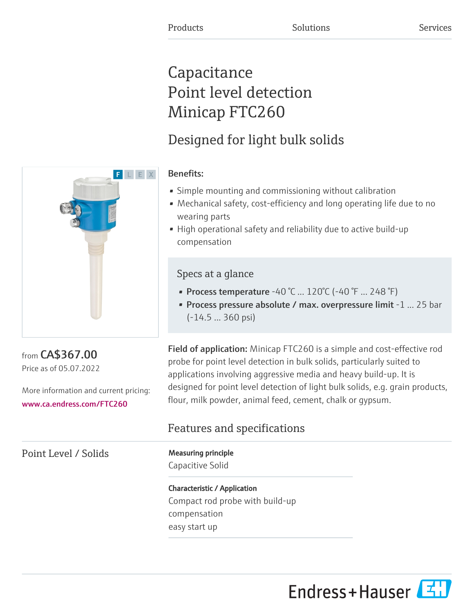# **Capacitance** Point level detection Minicap FTC260

# Designed for light bulk solids



### Benefits:

- Simple mounting and commissioning without calibration
- Mechanical safety, cost-efficiency and long operating life due to no wearing parts
- High operational safety and reliability due to active build-up compensation

### Specs at a glance

- Process temperature  $-40\degree$ C ...  $120\degree$ C ( $-40\degree$ F ... 248 $\degree$ F)
- Process pressure absolute / max. overpressure limit -1 ... 25 bar (-14.5 ... 360 psi)

Field of application: Minicap FTC260 is a simple and cost-effective rod probe for point level detection in bulk solids, particularly suited to applications involving aggressive media and heavy build-up. It is designed for point level detection of light bulk solids, e.g. grain products, flour, milk powder, animal feed, cement, chalk or gypsum.

## Features and specifications

Capacitive Solid

Characteristic / Application Compact rod probe with build-up compensation easy start up



from CA\$367.00 Price as of 05.07.2022

More information and current pricing: [www.ca.endress.com/FTC260](https://www.ca.endress.com/FTC260)

Point Level / Solids Measuring principle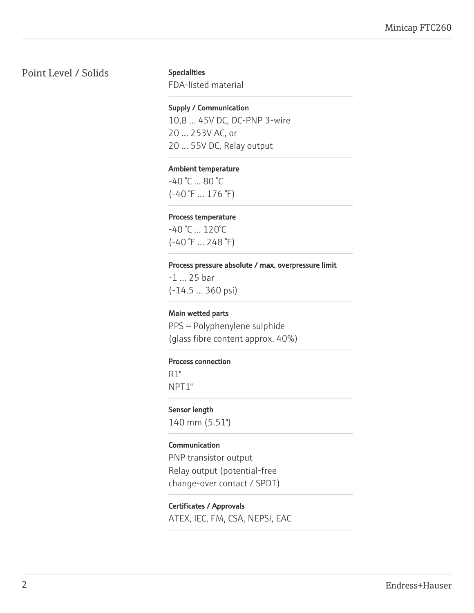### Point Level / Solids Specialities

FDA-listed material

#### Supply / Communication

10,8 ... 45V DC, DC-PNP 3-wire 20 ... 253V AC, or 20 ... 55V DC, Relay output

#### Ambient temperature

-40 °C ... 80 °C (-40 °F ... 176 °F)

#### Process temperature

-40 °C ... 120°C (-40 °F ... 248 °F)

#### Process pressure absolute / max. overpressure limit

-1 ... 25 bar (-14.5 ... 360 psi)

#### Main wetted parts

PPS = Polyphenylene sulphide (glass fibre content approx. 40%)

#### Process connection

R1" NPT1"

Sensor length 140 mm (5.51")

#### Communication

PNP transistor output Relay output (potential-free change-over contact / SPDT)

Certificates / Approvals ATEX, IEC, FM, CSA, NEPSI, EAC